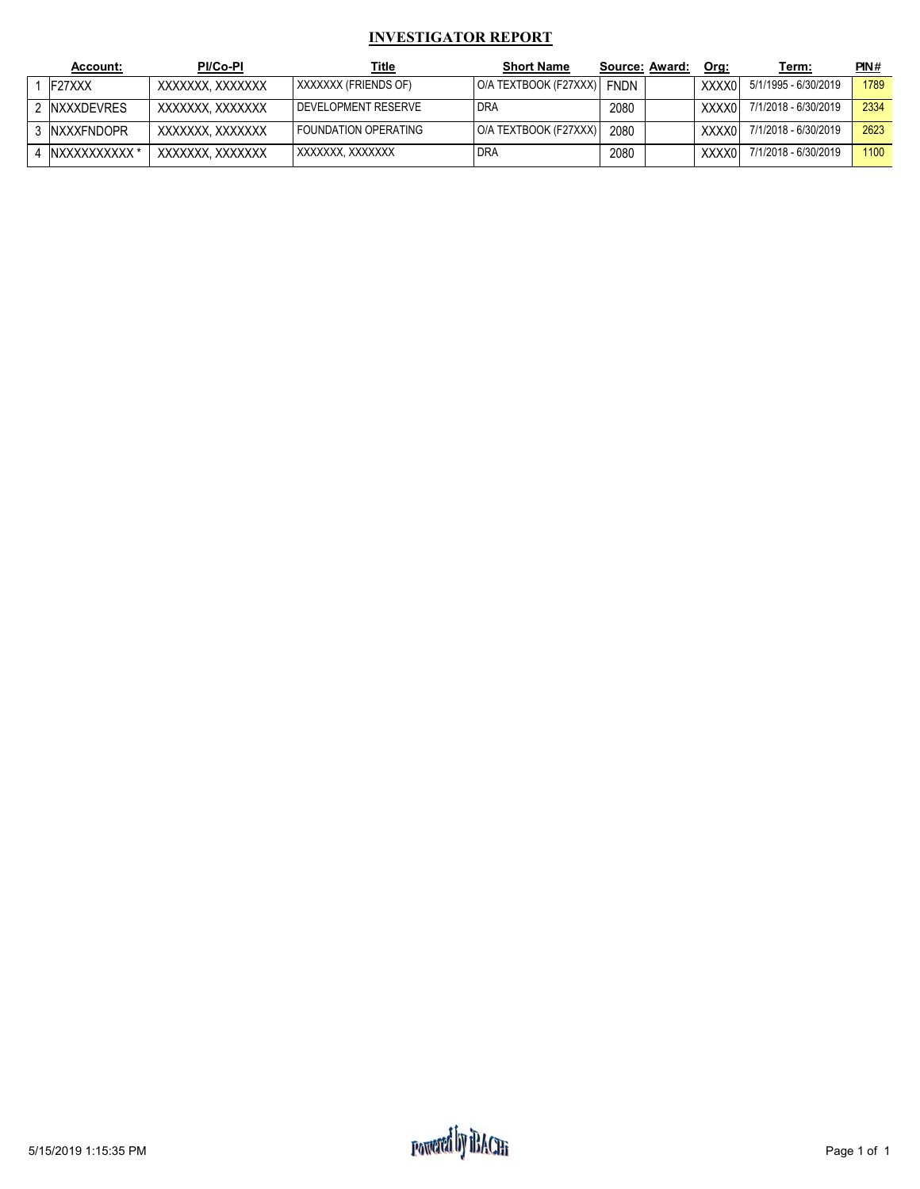#### **INVESTIGATOR REPORT**

| Account:           | <b>PI/Co-PI</b>  | <u>Title</u>          | <b>Short Name</b>     | Source: Award: | Org:   | Term:                | PIN# |
|--------------------|------------------|-----------------------|-----------------------|----------------|--------|----------------------|------|
| F27XXX             | XXXXXXX. XXXXXXX | XXXXXXX (FRIENDS OF)  | O/A TEXTBOOK (F27XXX) | <b>FNDN</b>    | XXXX0  | 5/1/1995 - 6/30/2019 | 1789 |
| 2 INXXXDEVRES      | XXXXXXX. XXXXXXX | I DEVELOPMENT RESERVE | <b>DRA</b>            | 2080           | XXXX01 | 7/1/2018 - 6/30/2019 | 2334 |
| <b>INXXXFNDOPR</b> | XXXXXXX. XXXXXXX | FOUNDATION OPERATING  | O/A TEXTBOOK (F27XXX) | 2080           | XXXX0  | 7/1/2018 - 6/30/2019 | 2623 |
| NXXXXXXXXXX *      | XXXXXXX. XXXXXXX | XXXXXXX, XXXXXXX      | <b>DRA</b>            | 2080           | XXXX0  | 7/1/2018 - 6/30/2019 | 1100 |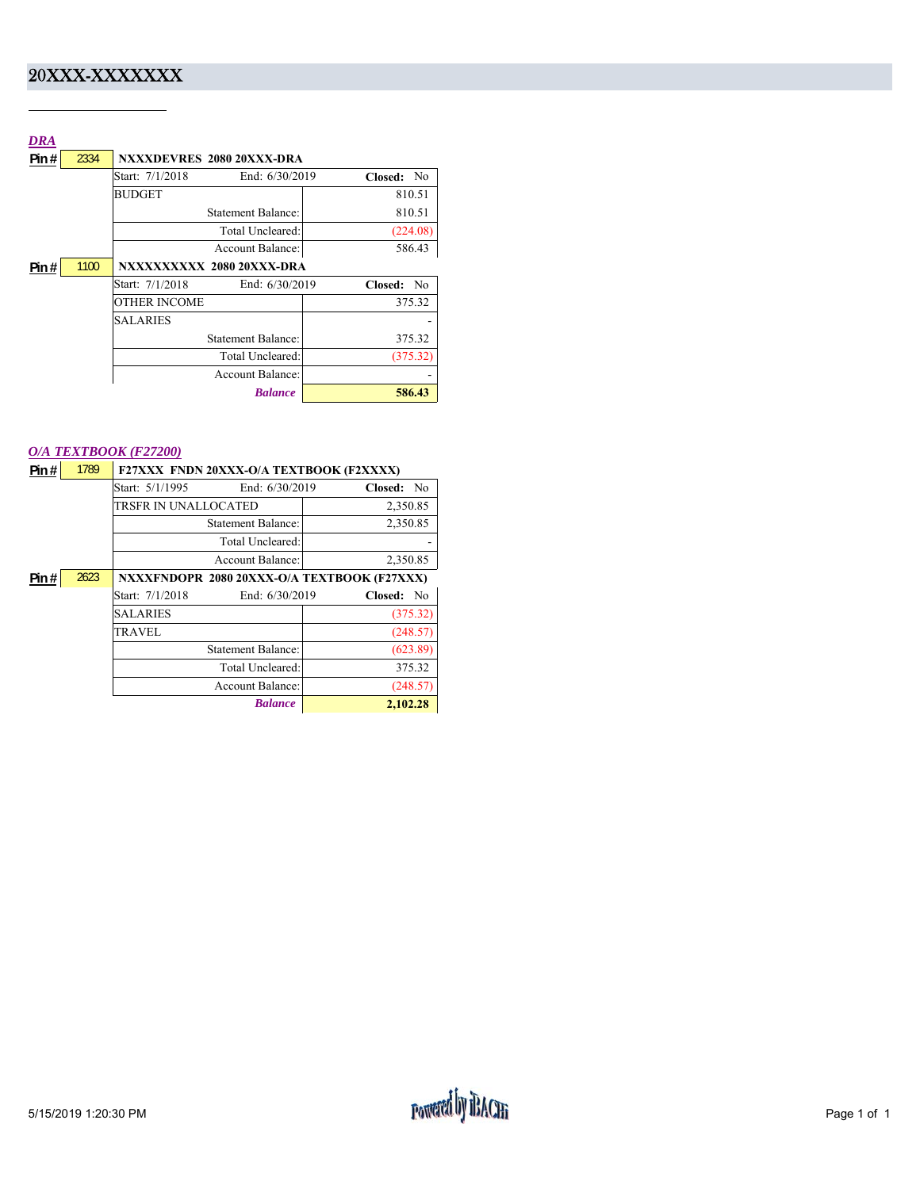### 20XXX-XXXXXXX

| DRA   |      |                                     |                           |
|-------|------|-------------------------------------|---------------------------|
| Pin#  | 2334 | NXXXDEVRES 2080 20XXX-DRA           |                           |
|       |      | Start: 7/1/2018<br>End: $6/30/2019$ | Closed:<br>N <sub>0</sub> |
|       |      | <b>BUDGET</b>                       | 810.51                    |
|       |      | <b>Statement Balance:</b>           | 810.51                    |
|       |      | Total Uncleared:                    | (224.08)                  |
|       |      | Account Balance:                    | 586.43                    |
| Pin # | 1100 | NXXXXXXXXX 2080 20XXX-DRA           |                           |
|       |      | End: 6/30/2019<br>Start: 7/1/2018   | Closed:<br>N <sub>0</sub> |
|       |      | OTHER INCOME                        | 375.32                    |
|       |      | <b>SALARIES</b>                     |                           |
|       |      | <b>Statement Balance:</b>           | 375.32                    |
|       |      | Total Uncleared:                    | (375.32)                  |
|       |      | Account Balance:                    |                           |
|       |      | <b>Balance</b>                      | 586.43                    |

#### *O/A TEXTBOOK (F27200)*

| Pin $#$ | 1789 | F27XXX FNDN 20XXX-O/A TEXTBOOK (F2XXXX)     |            |
|---------|------|---------------------------------------------|------------|
|         |      | End: 6/30/2019<br>Start: 5/1/1995           | Closed: No |
|         |      | TRSFR IN UNALLOCATED                        | 2,350.85   |
|         |      | <b>Statement Balance:</b>                   | 2,350.85   |
|         |      | Total Uncleared:                            |            |
|         |      | <b>Account Balance:</b>                     | 2,350.85   |
| Pin#    | 2623 | NXXXFNDOPR 2080 20XXX-O/A TEXTBOOK (F27XXX) |            |
|         |      | End: 6/30/2019<br>Start: 7/1/2018           | Closed: No |
|         |      | <b>SALARIES</b>                             | (375.32)   |
|         |      | <b>TRAVEL</b>                               | (248.57)   |
|         |      | <b>Statement Balance:</b>                   | (623.89)   |
|         |      | Total Uncleared:                            | 375.32     |
|         |      | <b>Account Balance:</b>                     | (248.57)   |
|         |      | <b>Balance</b>                              | 2,102.28   |
|         |      |                                             |            |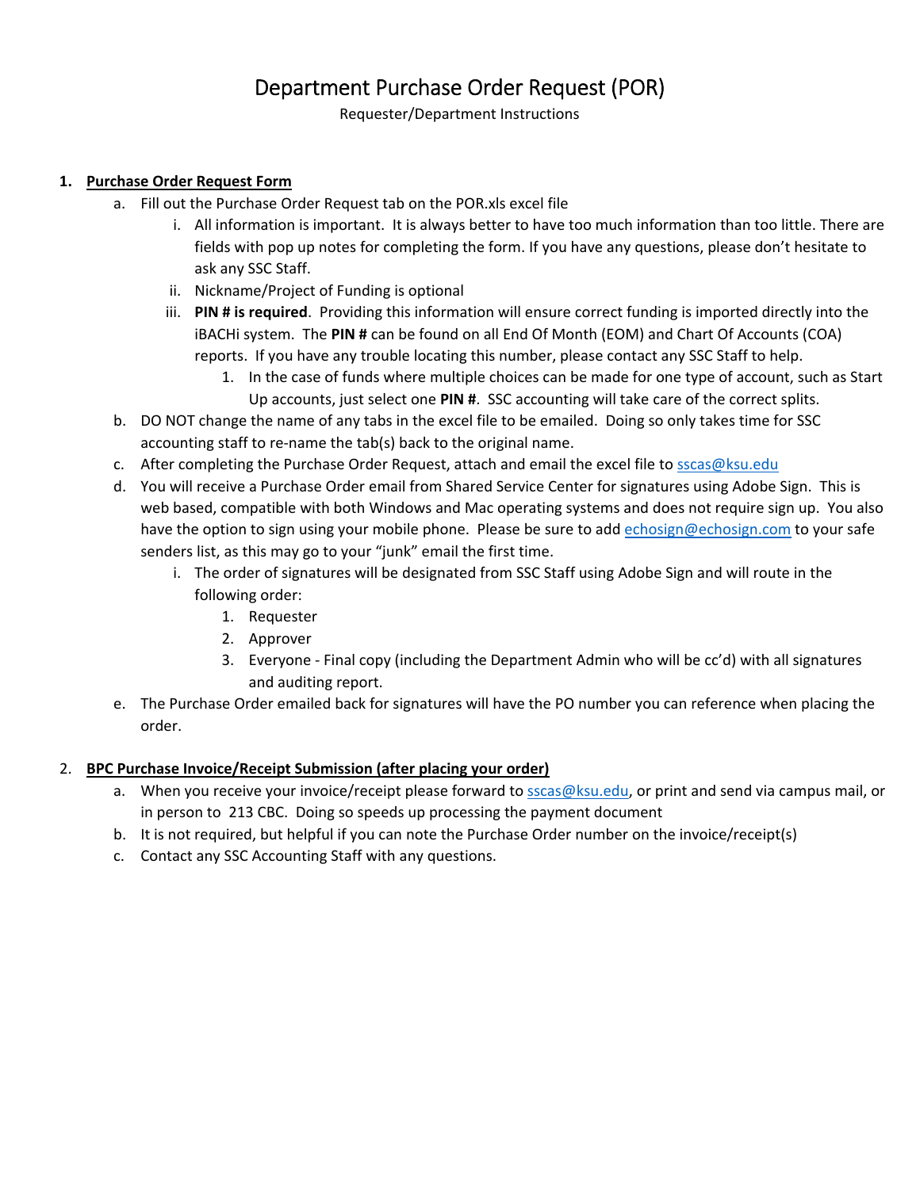### Department Purchase Order Request (POR)

Requester/Department Instructions

### **1. Purchase Order Request Form**

- a. Fill out the Purchase Order Request tab on the POR.xls excel file
	- i. All information is important. It is always better to have too much information than too little. There are fields with pop up notes for completing the form. If you have any questions, please don't hesitate to ask any SSC Staff.
	- ii. Nickname/Project of Funding is optional
	- iii. **PIN # is required**. Providing this information will ensure correct funding is imported directly into the iBACHi system. The **PIN #** can be found on all End Of Month (EOM) and Chart Of Accounts (COA) reports. If you have any trouble locating this number, please contact any SSC Staff to help.
		- 1. In the case of funds where multiple choices can be made for one type of account, such as Start Up accounts, just select one **PIN #**. SSC accounting will take care of the correct splits.
- b. DO NOT change the name of any tabs in the excel file to be emailed. Doing so only takes time for SSC accounting staff to re‐name the tab(s) back to the original name.
- c. After completing the Purchase Order Request, attach and email the excel file to sscas@ksu.edu
- d. You will receive a Purchase Order email from Shared Service Center for signatures using Adobe Sign. This is web based, compatible with both Windows and Mac operating systems and does not require sign up. You also have the option to sign using your mobile phone. Please be sure to add echosign@echosign.com to your safe senders list, as this may go to your "junk" email the first time.
	- i. The order of signatures will be designated from SSC Staff using Adobe Sign and will route in the following order:
		- 1. Requester
		- 2. Approver
		- 3. Everyone Final copy (including the Department Admin who will be cc'd) with all signatures and auditing report.
- e. The Purchase Order emailed back for signatures will have the PO number you can reference when placing the order.

### 2. **BPC Purchase Invoice/Receipt Submission (after placing your order)**

- a. When you receive your invoice/receipt please forward to sscas@ksu.edu, or print and send via campus mail, or in person to 213 CBC. Doing so speeds up processing the payment document
- b. It is not required, but helpful if you can note the Purchase Order number on the invoice/receipt(s)
- c. Contact any SSC Accounting Staff with any questions.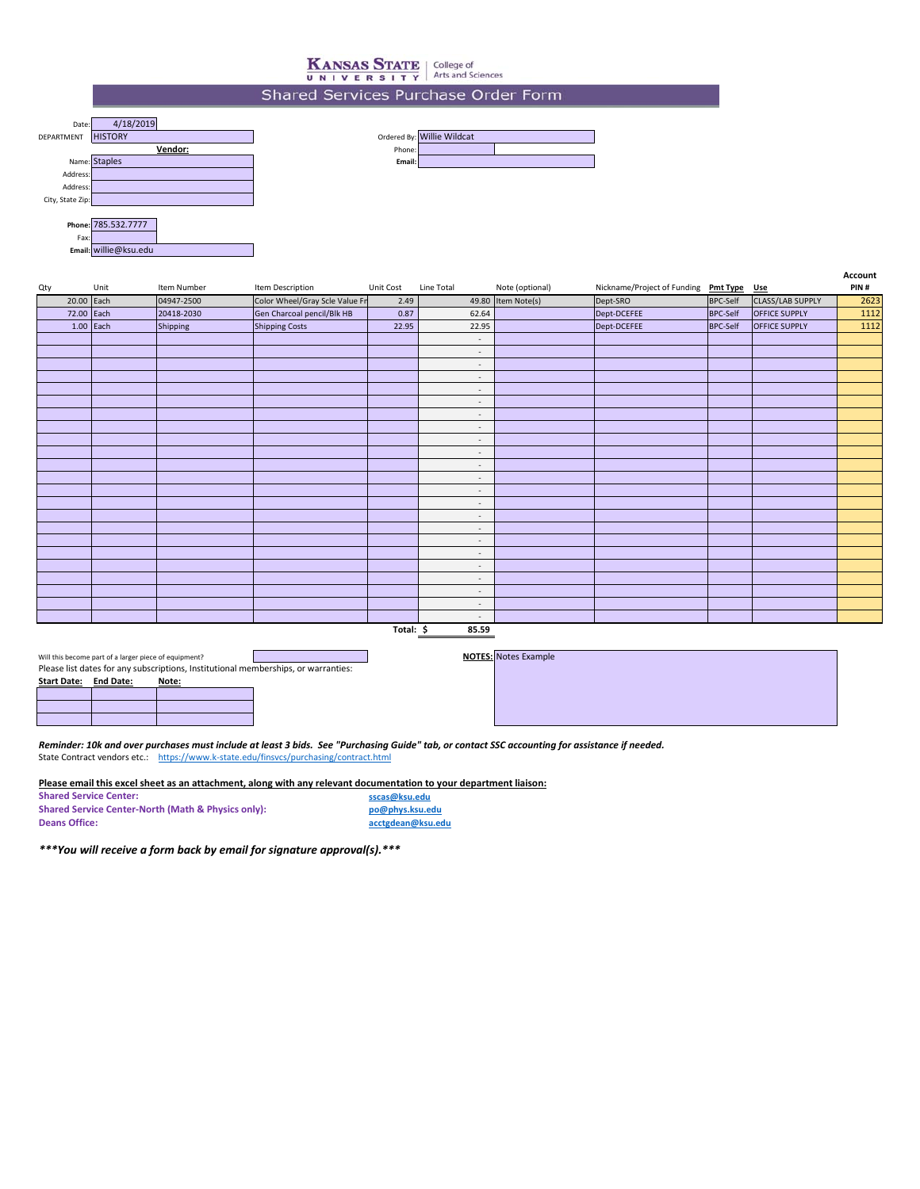## **KANSAS STATE** College of UNIVERSITY Arts and Sciences

#### Shared Services Purchase Order Form

| Date:            | 4/18/2019           |        |                            |
|------------------|---------------------|--------|----------------------------|
| DEPARTMENT       | <b>HISTORY</b>      |        | Ordered By: Willie Wildcat |
|                  | Vendor:             | Phone: |                            |
|                  | Name: Staples       | Email: |                            |
| Address:         |                     |        |                            |
| Address:         |                     |        |                            |
| City, State Zip: |                     |        |                            |
|                  |                     |        |                            |
|                  | Phone: 785.532.7777 |        |                            |
| Fax:             |                     |        |                            |

| Qty        | Unit        | Item Number | Item Description               | Unit Cost | Line Total               | Note (optional)    | Nickname/Project of Funding Pmt Type Use |                 |                      | <b>ALLUUIIL</b><br>PIN# |
|------------|-------------|-------------|--------------------------------|-----------|--------------------------|--------------------|------------------------------------------|-----------------|----------------------|-------------------------|
| 20.00      | Each        | 04947-2500  | Color Wheel/Gray Scle Value Fr | 2.49      |                          | 49.80 Item Note(s) | Dept-SRO                                 | <b>BPC-Self</b> | CLASS/LAB SUPPLY     | 2623                    |
| 72.00 Each |             | 20418-2030  | Gen Charcoal pencil/Blk HB     | 0.87      | 62.64                    |                    | Dept-DCEFEE                              | <b>BPC-Self</b> | <b>OFFICE SUPPLY</b> | 1112                    |
|            | $1.00$ Each | Shipping    | <b>Shipping Costs</b>          | 22.95     | 22.95                    |                    | Dept-DCEFEE                              | <b>BPC-Self</b> | OFFICE SUPPLY        | 1112                    |
|            |             |             |                                |           | $\sim$                   |                    |                                          |                 |                      |                         |
|            |             |             |                                |           | $\sim$                   |                    |                                          |                 |                      |                         |
|            |             |             |                                |           | $\sim$                   |                    |                                          |                 |                      |                         |
|            |             |             |                                |           | $\sim$                   |                    |                                          |                 |                      |                         |
|            |             |             |                                |           | $\sim$                   |                    |                                          |                 |                      |                         |
|            |             |             |                                |           | $\sim$                   |                    |                                          |                 |                      |                         |
|            |             |             |                                |           | $\sim$                   |                    |                                          |                 |                      |                         |
|            |             |             |                                |           | $\sim$                   |                    |                                          |                 |                      |                         |
|            |             |             |                                |           | $\sim$                   |                    |                                          |                 |                      |                         |
|            |             |             |                                |           | $\sim$                   |                    |                                          |                 |                      |                         |
|            |             |             |                                |           | $\sim$                   |                    |                                          |                 |                      |                         |
|            |             |             |                                |           | $\sim$                   |                    |                                          |                 |                      |                         |
|            |             |             |                                |           | $\overline{\phantom{a}}$ |                    |                                          |                 |                      |                         |
|            |             |             |                                |           | $\sim$                   |                    |                                          |                 |                      |                         |
|            |             |             |                                |           | $\sim$                   |                    |                                          |                 |                      |                         |
|            |             |             |                                |           | $\sim$                   |                    |                                          |                 |                      |                         |
|            |             |             |                                |           | $\overline{\phantom{a}}$ |                    |                                          |                 |                      |                         |
|            |             |             |                                |           | $\sim$                   |                    |                                          |                 |                      |                         |
|            |             |             |                                |           | $\sim$                   |                    |                                          |                 |                      |                         |
|            |             |             |                                |           | $\sim$                   |                    |                                          |                 |                      |                         |
|            |             |             |                                |           | $\sim$                   |                    |                                          |                 |                      |                         |
|            |             |             |                                |           | $\sim$                   |                    |                                          |                 |                      |                         |
|            |             |             |                                |           | $\sim$                   |                    |                                          |                 |                      |                         |

**Total: 85.59 \$** 

Will this become part of a larger piece of equipment? Please list dates for any subscriptions, Institutional memberships, or warranties:

**Start Date: End Date: Note:**

**Email:** willie@ksu.edu

**NOTES:** Notes Example

**Account**

*Reminder: 10k and over purchases must include at least 3 bids. See "Purchasing Guide" tab, or contact SSC accounting for assistance if needed.* State Contract vendors etc.: https://www.k-state.edu/finsvcs/purchasing/contract.html

**Please email this excel sheet as an attachment, along with any relevant documentation to your department liaison:**

**Shared Service Center: Shared Service Center‐North (Math & Physics only): Deans Office:**

**sscas@ksu.edu po@phys.ksu.edu acctgdean@ksu.edu**

*\*\*\*You will receive a form back by email for signature approval(s).\*\*\**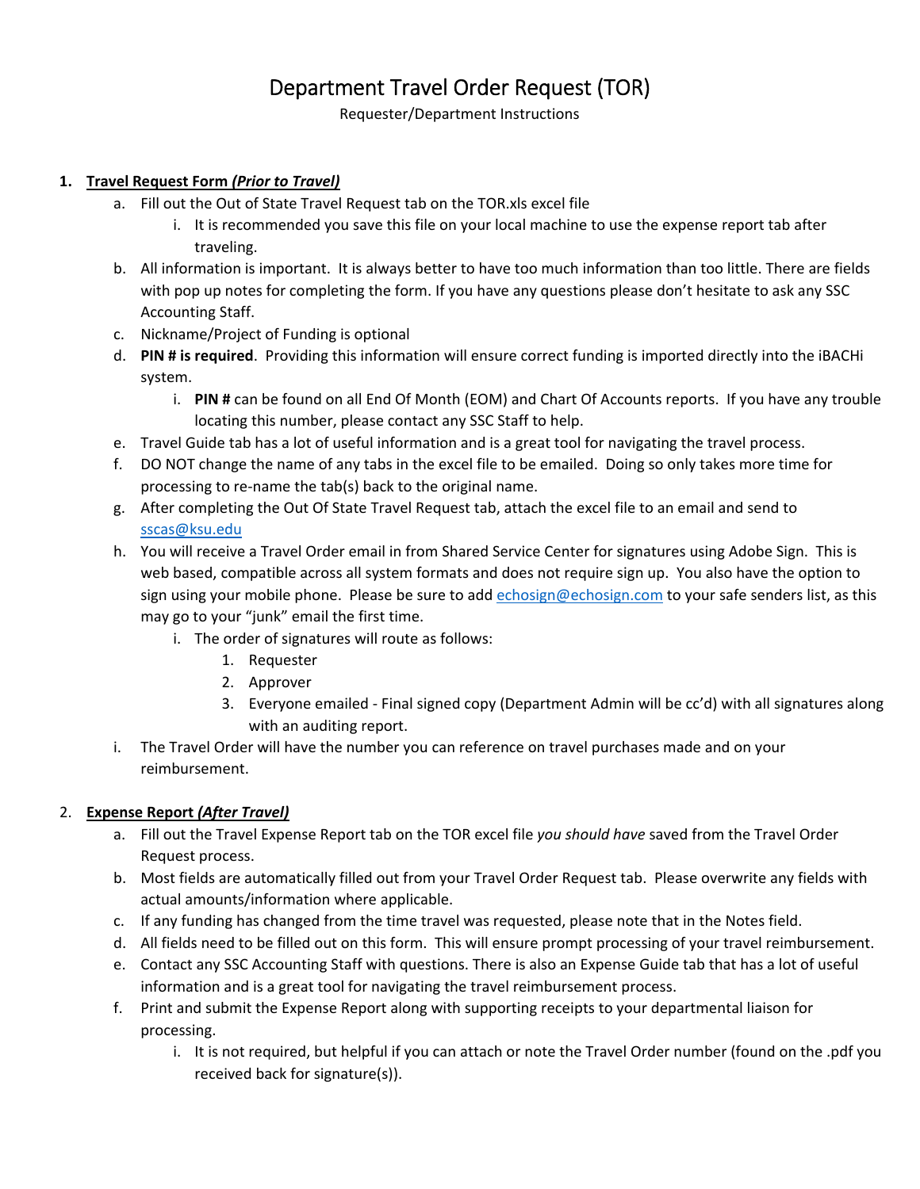### Department Travel Order Request (TOR)

Requester/Department Instructions

### **1. Travel Request Form** *(Prior to Travel)*

- a. Fill out the Out of State Travel Request tab on the TOR.xls excel file
	- i. It is recommended you save this file on your local machine to use the expense report tab after traveling.
- b. All information is important. It is always better to have too much information than too little. There are fields with pop up notes for completing the form. If you have any questions please don't hesitate to ask any SSC Accounting Staff.
- c. Nickname/Project of Funding is optional
- d. **PIN # is required**. Providing this information will ensure correct funding is imported directly into the iBACHi system.
	- i. **PIN #** can be found on all End Of Month (EOM) and Chart Of Accounts reports. If you have any trouble locating this number, please contact any SSC Staff to help.
- e. Travel Guide tab has a lot of useful information and is a great tool for navigating the travel process.
- f. DO NOT change the name of any tabs in the excel file to be emailed. Doing so only takes more time for processing to re‐name the tab(s) back to the original name.
- g. After completing the Out Of State Travel Request tab, attach the excel file to an email and send to sscas@ksu.edu
- h. You will receive a Travel Order email in from Shared Service Center for signatures using Adobe Sign. This is web based, compatible across all system formats and does not require sign up. You also have the option to sign using your mobile phone. Please be sure to add echosign@echosign.com to your safe senders list, as this may go to your "junk" email the first time.
	- i. The order of signatures will route as follows:
		- 1. Requester
		- 2. Approver
		- 3. Everyone emailed ‐ Final signed copy (Department Admin will be cc'd) with all signatures along with an auditing report.
- i. The Travel Order will have the number you can reference on travel purchases made and on your reimbursement.

### 2. **Expense Report** *(After Travel)*

- a. Fill out the Travel Expense Report tab on the TOR excel file *you should have* saved from the Travel Order Request process.
- b. Most fields are automatically filled out from your Travel Order Request tab. Please overwrite any fields with actual amounts/information where applicable.
- c. If any funding has changed from the time travel was requested, please note that in the Notes field.
- d. All fields need to be filled out on this form. This will ensure prompt processing of your travel reimbursement.
- e. Contact any SSC Accounting Staff with questions. There is also an Expense Guide tab that has a lot of useful information and is a great tool for navigating the travel reimbursement process.
- f. Print and submit the Expense Report along with supporting receipts to your departmental liaison for processing.
	- i. It is not required, but helpful if you can attach or note the Travel Order number (found on the .pdf you received back for signature(s)).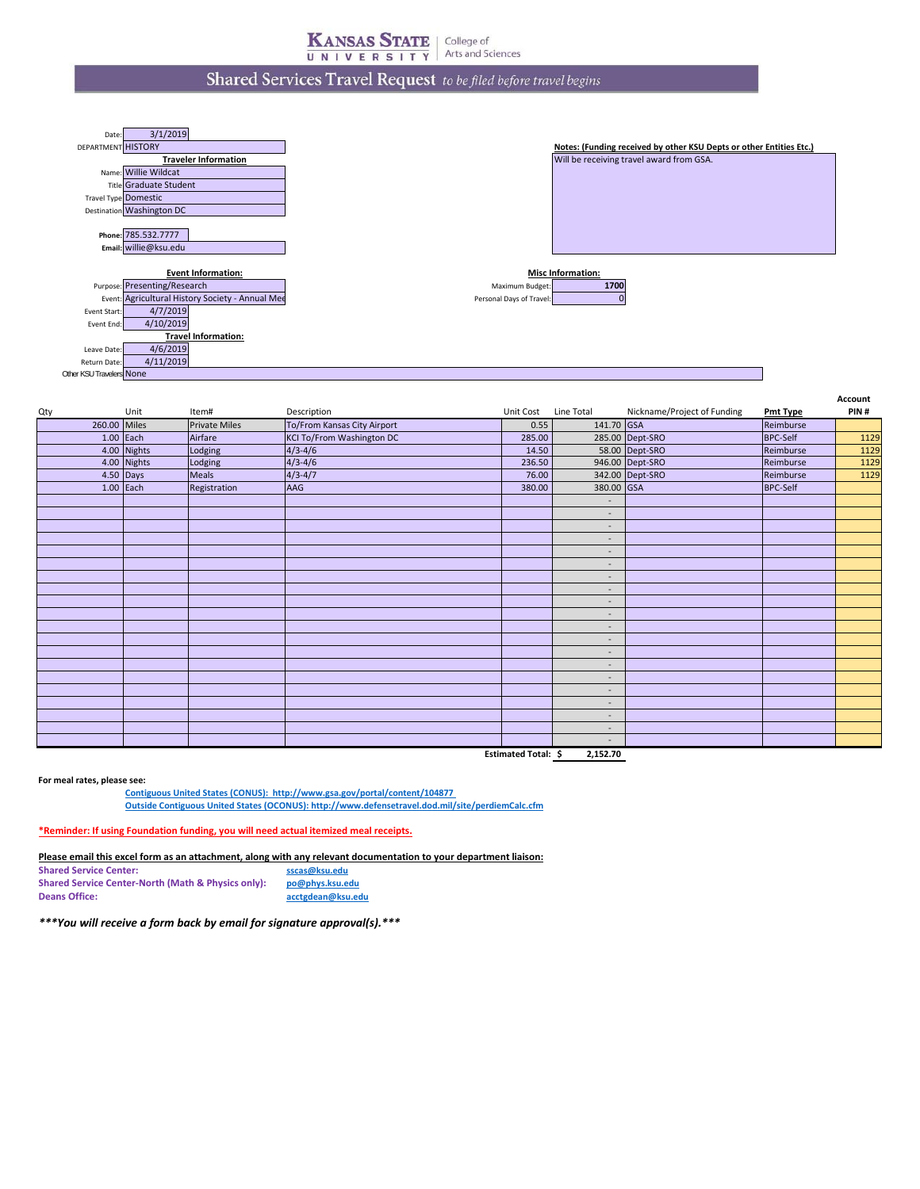### Shared Services Travel Request to be filed before travel begins



| Qty |              | Unit        | Item#                | Description                      | Unit Cost Line Total |                          | Nickname/Project of Funding | <b>Pmt Type</b> | PIN# |
|-----|--------------|-------------|----------------------|----------------------------------|----------------------|--------------------------|-----------------------------|-----------------|------|
|     | 260.00 Miles |             | <b>Private Miles</b> | To/From Kansas City Airport      | 0.55                 | 141.70 GSA               |                             | Reimburse       |      |
|     |              | 1.00 Each   | Airfare              | <b>KCI To/From Washington DC</b> | 285.00               |                          | 285.00 Dept-SRO             | <b>BPC-Self</b> | 1129 |
|     |              | 4.00 Nights | Lodging              | $4/3 - 4/6$                      | 14.50                |                          | 58.00 Dept-SRO              | Reimburse       | 1129 |
|     |              | 4.00 Nights | Lodging              | $4/3 - 4/6$                      | 236.50               |                          | 946.00 Dept-SRO             | Reimburse       | 1129 |
|     |              | 4.50 Days   | Meals                | $4/3 - 4/7$                      | 76.00                |                          | 342.00 Dept-SRO             | Reimburse       | 1129 |
|     |              | $1.00$ Each | Registration         | AAG                              | 380.00               | 380.00 GSA               |                             | <b>BPC-Self</b> |      |
|     |              |             |                      |                                  |                      |                          |                             |                 |      |
|     |              |             |                      |                                  |                      | $\sim$                   |                             |                 |      |
|     |              |             |                      |                                  |                      | $\overline{\phantom{a}}$ |                             |                 |      |
|     |              |             |                      |                                  |                      | $\overline{\phantom{a}}$ |                             |                 |      |
|     |              |             |                      |                                  |                      | $\sim$                   |                             |                 |      |
|     |              |             |                      |                                  |                      | $\sim$                   |                             |                 |      |
|     |              |             |                      |                                  |                      | $\overline{\phantom{a}}$ |                             |                 |      |
|     |              |             |                      |                                  |                      | $\sim$                   |                             |                 |      |
|     |              |             |                      |                                  |                      | $\sim$                   |                             |                 |      |
|     |              |             |                      |                                  |                      | $\overline{\phantom{a}}$ |                             |                 |      |
|     |              |             |                      |                                  |                      | $\sim$                   |                             |                 |      |
|     |              |             |                      |                                  |                      | $\sim$                   |                             |                 |      |
|     |              |             |                      |                                  |                      | $\overline{\phantom{a}}$ |                             |                 |      |
|     |              |             |                      |                                  |                      | $\overline{\phantom{a}}$ |                             |                 |      |
|     |              |             |                      |                                  |                      | $\sim$                   |                             |                 |      |
|     |              |             |                      |                                  |                      | $\sim$                   |                             |                 |      |
|     |              |             |                      |                                  |                      | $\overline{\phantom{a}}$ |                             |                 |      |
|     |              |             |                      |                                  |                      | $\overline{\phantom{a}}$ |                             |                 |      |
|     |              |             |                      |                                  |                      | $\sim$                   |                             |                 |      |
|     |              |             |                      |                                  |                      | $\sim$                   |                             |                 |      |
|     |              |             |                      |                                  | Estimated Total: \$  | 2,152.70                 |                             |                 |      |

**For meal rates, please see:**

**Contiguous United States (CONUS): http://www.gsa.gov/portal/content/104877** 

**Outside Contiguous United States (OCONUS): http://www.defensetravel.dod.mil/site/perdiemCalc.cfm**

**\*Reminder: If using Foundation funding, you will need actual itemized meal receipts.**

**Please email this excel form as an attachment, along with any relevant documentation to your department liaison:**

**Shared Service Center: sscas@ksu.edu**<br> **Shared Service Center-North (Math & Physics only): po@phys.ksu.edu Shared Service Center-North (Math & Physics only):**<br>Deans Office: **Deans Office: acctgdean@ksu.edu**

*\*\*\*You will receive a form back by email for signature approval(s).\*\*\**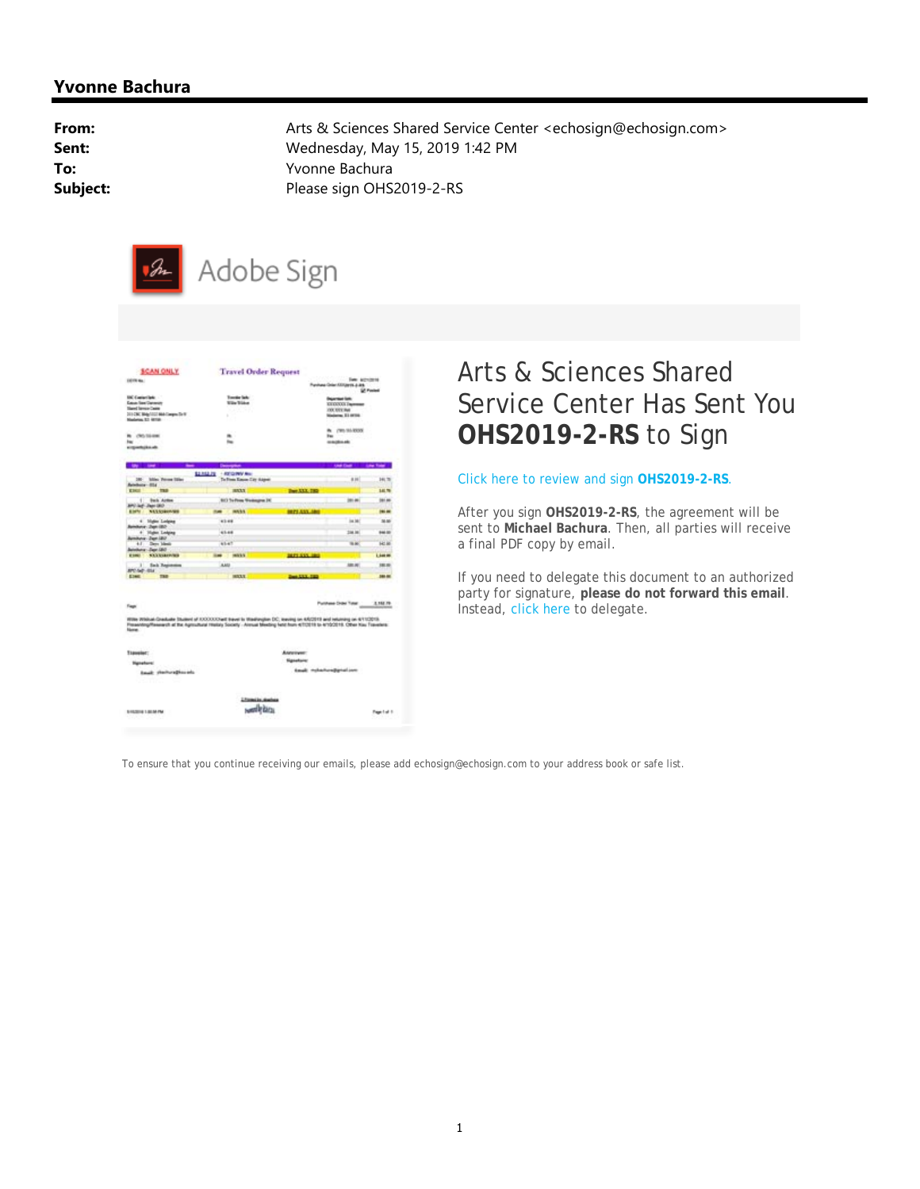### **Yvonne Bachura**

**From:** Arts & Sciences Shared Service Center <echosign@echosign.com> **Sent:** Wednesday, May 15, 2019 1:42 PM **To:** Yvonne Bachura **Subject:** Please sign OHS2019-2-RS



| DETRICAL                                                                                                                                  |                                              | <b>Travel Order Request</b> |                                                           |                  |
|-------------------------------------------------------------------------------------------------------------------------------------------|----------------------------------------------|-----------------------------|-----------------------------------------------------------|------------------|
|                                                                                                                                           |                                              |                             | <b>Falls</b> Activities<br>Funiture Only ASS/Jerry Jules  |                  |
| <b>ENC Contactibile </b><br><b>Case Sectioners</b>                                                                                        | <b>Executive State:</b><br><b>Wile Wides</b> |                             | <b>Department Conte</b>                                   | <b>U. Forded</b> |
| <b>Sland Service Castro</b>                                                                                                               |                                              |                             | EXECUCIÓN Tragmente<br><b>FOC KITE INK</b>                |                  |
| 2010K Mighted Millerm Dr F<br>Nadarias \$2 (819)                                                                                          | ٠                                            |                             | <b>Maderies</b> \$1,0000.                                 |                  |
| <b>N</b> (NS/SERM)                                                                                                                        |                                              |                             | <b><i><u><i><u><b>PRISTROS</b></u></i></u></i></b><br>hu. |                  |
| bac                                                                                                                                       |                                              |                             | magineals                                                 |                  |
| airgeachains ab.                                                                                                                          |                                              |                             |                                                           |                  |
|                                                                                                                                           |                                              |                             |                                                           |                  |
|                                                                                                                                           | 1103317<br><b>I AST CLIMATE MAKE</b>         |                             |                                                           |                  |
| <b>Miss Percent Siller</b><br><b>SMF</b><br>$-014$                                                                                        | To Free Kause Cay Angel:                     |                             | 8.99                                                      | 141.76           |
| <b>Kings</b><br><b>TRA</b>                                                                                                                | <b>BRAY</b>                                  | <b>Days A.L.L. 1982</b>     |                                                           | 140.796          |
| <b>Back Action</b><br><b>BPD Auf: Japi DEO</b>                                                                                            | <b>BIT To From Westington IV</b>             |                             | <b>SELAR</b>                                              | 191.00           |
| NASKINHOWS<br><b>Right</b>                                                                                                                | mysts                                        | <b>IRELANS</b>              |                                                           | <b>ISLAM</b>     |
| <b>Higher Linking</b><br>Arry Denville                                                                                                    | 43.44                                        |                             | De SA!                                                    | 36.06            |
| ¥<br><b>Haller Ledging</b>                                                                                                                | 41.44                                        |                             | 254.16                                                    | 844.00           |
| Ana-Jan 20<br>Den Medi<br>$\rightarrow$                                                                                                   | 61.47                                        |                             | 4.66                                                      | <b>H</b> ot Aid  |
| duran Japa (20)<br><b>STANDARDS</b><br><b>Execut</b>                                                                                      | 19813/5<br>٠                                 |                             |                                                           | Liste            |
| ×<br><b>Sab Japanese</b>                                                                                                                  | AAN                                          |                             | <b>ABLIN</b>                                              | 181.95           |
| <b>BYC-Sdr -SSA</b><br><b>EDMIT</b><br><b>THE</b>                                                                                         | <b>HIGHT</b>                                 | Date: USA 1983              |                                                           | <b>Jan All</b>   |
| Fage<br>IEllis Wiskul-Graduale Student of IODODOS all travel is titadisrujen DC, loaving on AR/2019 and returning on 4/11/2019.           |                                              |                             | Punkee Draw Total                                         | 1,158,79         |
| Freewolding/Reserve th at the Agricultural History Society - Aircust Meeting feld hum 4/102019 to 4/102019. Other Kay Travelers:<br>None. |                                              |                             |                                                           |                  |
| Tagesler:                                                                                                                                 |                                              | Ascouse:                    |                                                           |                  |
| <b>Highelians!</b>                                                                                                                        |                                              | <b>Nighelsin</b>            |                                                           |                  |
| <b>Louis: shortwaghereds</b>                                                                                                              |                                              |                             | <b>Easil:</b> multa/handjartail.com                       |                  |
|                                                                                                                                           | Literation dealers                           |                             |                                                           |                  |
|                                                                                                                                           |                                              |                             |                                                           |                  |

## Arts & Sciences Shared Service Center Has Sent You **OHS2019-2-RS** to Sign

#### Click here to review and sign **OHS2019-2-RS**.

After you sign **OHS2019-2-RS**, the agreement will be sent to **Michael Bachura**. Then, all parties will receive a final PDF copy by email.

If you need to delegate this document to an authorized party for signature, **please do not forward this email**. Instead, click here to delegate.

To ensure that you continue receiving our emails, please add echosign@echosign.com to your address book or safe list.